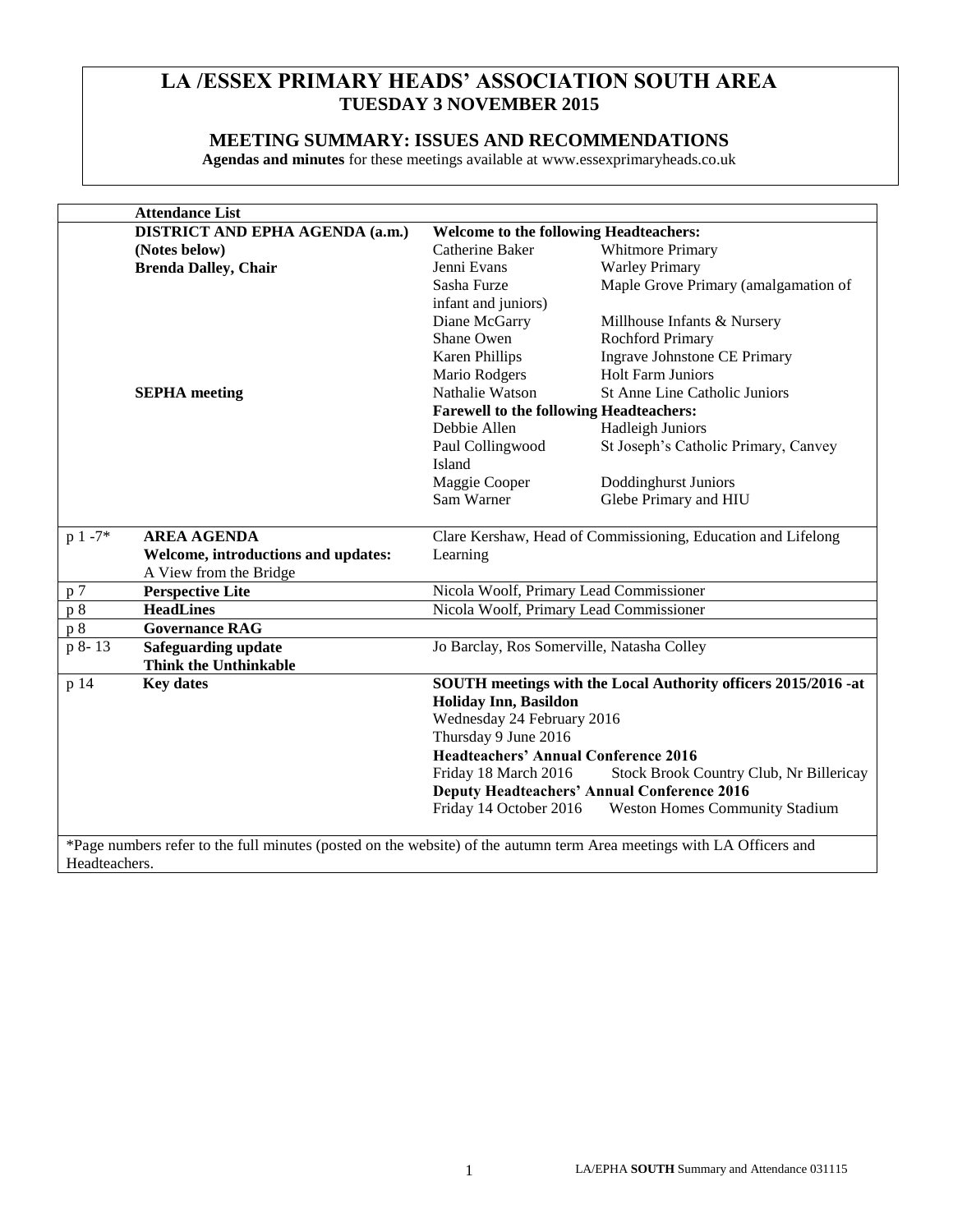# **LA /ESSEX PRIMARY HEADS' ASSOCIATION SOUTH AREA TUESDAY 3 NOVEMBER 2015**

# **MEETING SUMMARY: ISSUES AND RECOMMENDATIONS**

**Agendas and minutes** for these meetings available at www.essexprimaryheads.co.uk

| <b>Attendance List</b>                                        |                                        |                                                |                                                                                                                       |
|---------------------------------------------------------------|----------------------------------------|------------------------------------------------|-----------------------------------------------------------------------------------------------------------------------|
|                                                               | <b>DISTRICT AND EPHA AGENDA (a.m.)</b> | <b>Welcome to the following Headteachers:</b>  |                                                                                                                       |
| (Notes below)                                                 |                                        | Catherine Baker                                | Whitmore Primary                                                                                                      |
| <b>Brenda Dalley, Chair</b>                                   |                                        | Jenni Evans                                    | <b>Warley Primary</b>                                                                                                 |
|                                                               |                                        | Sasha Furze                                    | Maple Grove Primary (amalgamation of                                                                                  |
|                                                               |                                        | infant and juniors)                            |                                                                                                                       |
|                                                               |                                        | Diane McGarry                                  | Millhouse Infants & Nursery                                                                                           |
|                                                               |                                        | Shane Owen                                     | <b>Rochford Primary</b>                                                                                               |
|                                                               |                                        | <b>Karen Phillips</b>                          | Ingrave Johnstone CE Primary                                                                                          |
|                                                               |                                        | Mario Rodgers                                  | <b>Holt Farm Juniors</b>                                                                                              |
| <b>SEPHA</b> meeting                                          |                                        | Nathalie Watson                                | <b>St Anne Line Catholic Juniors</b>                                                                                  |
|                                                               |                                        | <b>Farewell to the following Headteachers:</b> |                                                                                                                       |
|                                                               |                                        | Debbie Allen                                   | <b>Hadleigh Juniors</b>                                                                                               |
|                                                               |                                        | Paul Collingwood                               | St Joseph's Catholic Primary, Canvey                                                                                  |
|                                                               |                                        | Island                                         |                                                                                                                       |
|                                                               |                                        | Maggie Cooper                                  | Doddinghurst Juniors                                                                                                  |
|                                                               |                                        | Sam Warner                                     | Glebe Primary and HIU                                                                                                 |
| $p 1 - 7*$                                                    |                                        |                                                | Clare Kershaw, Head of Commissioning, Education and Lifelong                                                          |
| <b>AREA AGENDA</b>                                            |                                        |                                                |                                                                                                                       |
| Welcome, introductions and updates:<br>A View from the Bridge |                                        | Learning                                       |                                                                                                                       |
| p 7                                                           |                                        | Nicola Woolf, Primary Lead Commissioner        |                                                                                                                       |
| <b>Perspective Lite</b><br>p8<br><b>HeadLines</b>             |                                        | Nicola Woolf, Primary Lead Commissioner        |                                                                                                                       |
| $\overline{p}$ 8<br><b>Governance RAG</b>                     |                                        |                                                |                                                                                                                       |
| p 8-13                                                        |                                        | Jo Barclay, Ros Somerville, Natasha Colley     |                                                                                                                       |
| Safeguarding update<br><b>Think the Unthinkable</b>           |                                        |                                                |                                                                                                                       |
| p 14<br><b>Key dates</b>                                      |                                        |                                                | SOUTH meetings with the Local Authority officers 2015/2016 -at                                                        |
|                                                               |                                        | Holiday Inn, Basildon                          |                                                                                                                       |
|                                                               |                                        | Wednesday 24 February 2016                     |                                                                                                                       |
|                                                               |                                        | Thursday 9 June 2016                           |                                                                                                                       |
|                                                               |                                        | <b>Headteachers' Annual Conference 2016</b>    |                                                                                                                       |
|                                                               |                                        | Friday 18 March 2016                           | Stock Brook Country Club, Nr Billericay                                                                               |
|                                                               |                                        |                                                | <b>Deputy Headteachers' Annual Conference 2016</b>                                                                    |
|                                                               |                                        | Friday 14 October 2016                         | <b>Weston Homes Community Stadium</b>                                                                                 |
|                                                               |                                        |                                                |                                                                                                                       |
|                                                               |                                        |                                                | *Page numbers refer to the full minutes (posted on the website) of the autumn term Area meetings with LA Officers and |

Headteachers.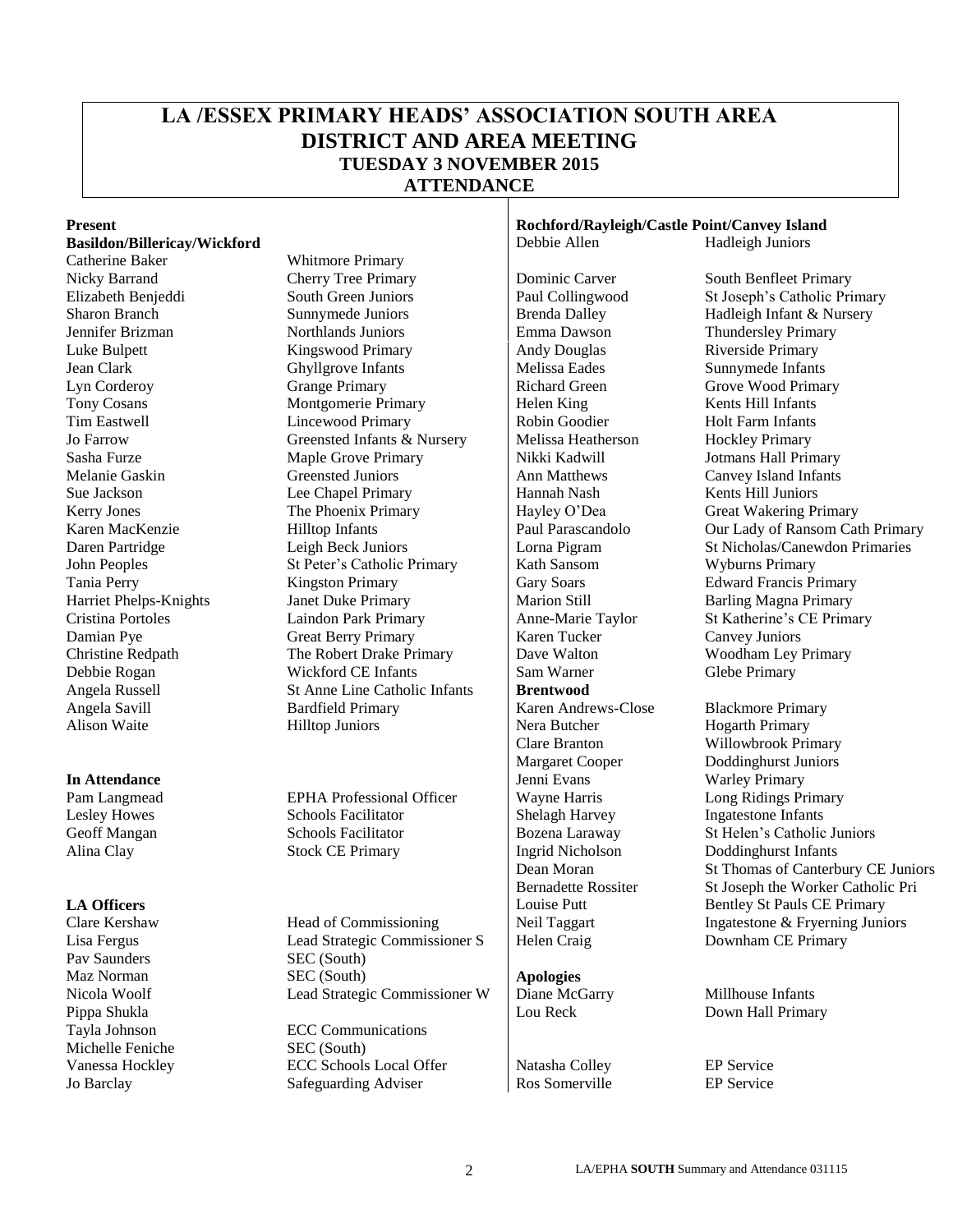# **LA /ESSEX PRIMARY HEADS' ASSOCIATION SOUTH AREA DISTRICT AND AREA MEETING TUESDAY 3 NOVEMBER 2015 ATTENDANCE**

#### **Basildon/Billericay/Wickford Debbie Allen** Hadleigh Juniors **Propose I** Debbie Allen

Pav Saunders SEC (South) Pippa Shukla **Down Hall Primary**<br>
Tayla Johnson **ECC Communications** Lou Reck Down Hall Primary Michelle Feniche SEC (South)

Catherine Baker Whitmore Primary Nicky Barrand Cherry Tree Primary Dominic Carver South Benfleet Primary Elizabeth Benjeddi South Green Juniors Paul Collingwood St Joseph's Catholic Primary Sharon Branch Sunnymede Juniors Brenda Dalley Hadleigh Infant & Nursery Jennifer Brizman Northlands Juniors Emma Dawson Thundersley Primary Luke Bulpett Kingswood Primary Andy Douglas Riverside Primary<br>
Jean Clark Ghyllgrove Infants Melissa Eades Sunnymede Infants Jean Clark Ghyllgrove Infants Melissa Eades<br>
Lyn Corderov Grange Primary Richard Green Lyn Corderoy Grange Primary Richard Green Grove Wood Primary Tony Cosans Montgomerie Primary Helen King Kents Hill Infants Lincewood Primary Robin Goodier Holt Farm Infants Jo Farrow Greensted Infants & Nursery Melissa Heatherson Hockley Primary Sasha Furze Maple Grove Primary Nikki Kadwill Jotmans Hall Primary Melanie Gaskin Greensted Juniors Ann Matthews Canvey Island Infants Sue Jackson Lee Chapel Primary | Hannah Nash Kents Hill Juniors Kerry Jones **The Phoenix Primary** Hayley O'Dea Great Wakering Primary John Peoples St Peter's Catholic Primary Kath Sansom Wyburns Primary Tania Perry Kingston Primary Gary Soars Edward Francis Primary Harriet Phelps-Knights Janet Duke Primary Marion Still Barling Magna Primary Cristina Portoles Laindon Park Primary Anne-Marie Taylor St Katherine's CE Primary Damian Pye Great Berry Primary Karen Tucker Canvey Juniors Christine Redpath The Robert Drake Primary Dave Walton Woodham Ley Primary Debbie Rogan Wickford CE Infants Sam Warner Glebe Primary Angela Russell St Anne Line Catholic Infants **Brentwood** Angela Savill **Bardfield Primary** Karen Andrews-Close Blackmore Primary Alison Waite **Hilltop Juniors** Nera Butcher Hogarth Primary

Lesley Howes Schools Facilitator Shelagh Harvey Ingatestone Infants Alina Clay Stock CE Primary Ingrid Nicholson Doddinghurst Infants

Clare Kershaw Head of Commissioning Neil Taggart Ingatestone & Fryerning Juniors Lisa Fergus Lead Strategic Commissioner S | Helen Craig Downham CE Primary Maz Norman SEC (South) **Apologies** Nicola Woolf **Lead Strategic Commissioner W** Diane McGarry Millhouse Infants

**ECC Communications** Vanessa Hockley **ECC Schools Local Offer** Natasha Colley **EP Service** EP Service Jo Barclay **Safeguarding Adviser** Ros Somerville EP Service

# **Present Rochford/Rayleigh/Castle Point/Canvey Island**

**In Attendance Jenni Evans** Warley Primary

Karen MacKenzie **Hilltop Infants** Paul Parascandolo Our Lady of Ransom Cath Primary Daren Partridge Leigh Beck Juniors Lorna Pigram St Nicholas/Canewdon Primaries

Clare Branton Willowbrook Primary Margaret Cooper Doddinghurst Juniors Pam Langmead EPHA Professional Officer Wayne Harris Long Ridings Primary Geoff Mangan Schools Facilitator Bozena Laraway St Helen's Catholic Juniors Dean Moran St Thomas of Canterbury CE Juniors Bernadette Rossiter St Joseph the Worker Catholic Pri **LA Officers Louise Putt** Bentley St Pauls CE Primary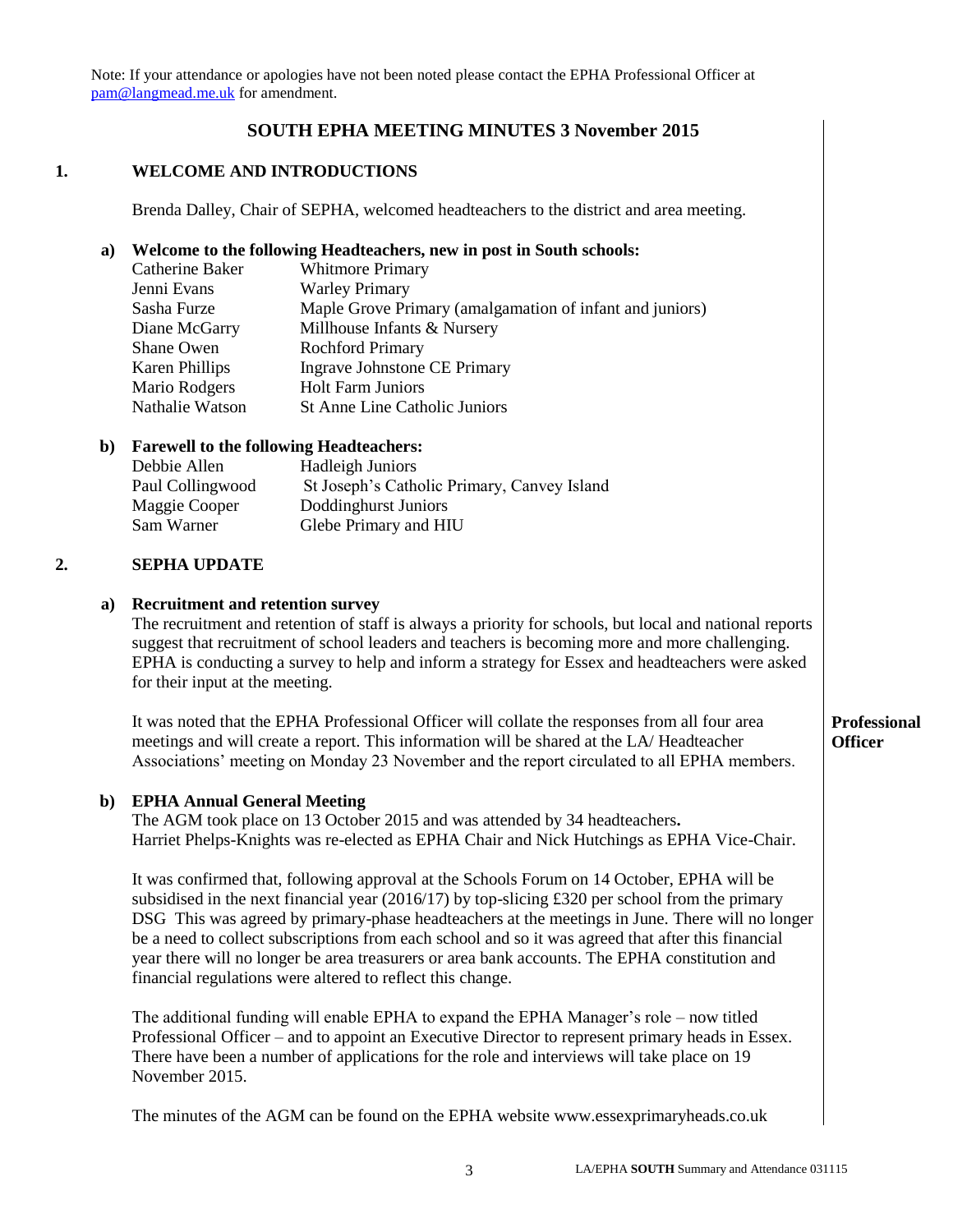Note: If your attendance or apologies have not been noted please contact the EPHA Professional Officer at [pam@langmead.me.uk](mailto:pam@langmead.me.uk) for amendment.

## **SOUTH EPHA MEETING MINUTES 3 November 2015**

#### **1. WELCOME AND INTRODUCTIONS**

Brenda Dalley, Chair of SEPHA, welcomed headteachers to the district and area meeting.

### **a) Welcome to the following Headteachers, new in post in South schools:**

| Catherine Baker       | <b>Whitmore Primary</b>                                  |
|-----------------------|----------------------------------------------------------|
| Jenni Evans           | <b>Warley Primary</b>                                    |
| Sasha Furze           | Maple Grove Primary (amalgamation of infant and juniors) |
| Diane McGarry         | Millhouse Infants & Nursery                              |
| Shane Owen            | <b>Rochford Primary</b>                                  |
| <b>Karen Phillips</b> | Ingrave Johnstone CE Primary                             |
| Mario Rodgers         | <b>Holt Farm Juniors</b>                                 |
| Nathalie Watson       | St Anne Line Catholic Juniors                            |

## **b) Farewell to the following Headteachers:**

| Debbie Allen     | <b>Hadleigh Juniors</b>                     |
|------------------|---------------------------------------------|
| Paul Collingwood | St Joseph's Catholic Primary, Canvey Island |
| Maggie Cooper    | Doddinghurst Juniors                        |
| Sam Warner       | Glebe Primary and HIU                       |

#### **2. SEPHA UPDATE**

#### **a) Recruitment and retention survey**

The recruitment and retention of staff is always a priority for schools, but local and national reports suggest that recruitment of school leaders and teachers is becoming more and more challenging. EPHA is conducting a survey to help and inform a strategy for Essex and headteachers were asked for their input at the meeting.

It was noted that the EPHA Professional Officer will collate the responses from all four area meetings and will create a report. This information will be shared at the LA/ Headteacher Associations' meeting on Monday 23 November and the report circulated to all EPHA members.

### **b) EPHA Annual General Meeting**

The AGM took place on 13 October 2015 and was attended by 34 headteachers**.**  Harriet Phelps-Knights was re-elected as EPHA Chair and Nick Hutchings as EPHA Vice-Chair.

It was confirmed that, following approval at the Schools Forum on 14 October, EPHA will be subsidised in the next financial year (2016/17) by top-slicing £320 per school from the primary DSG This was agreed by primary-phase headteachers at the meetings in June. There will no longer be a need to collect subscriptions from each school and so it was agreed that after this financial year there will no longer be area treasurers or area bank accounts. The EPHA constitution and financial regulations were altered to reflect this change.

The additional funding will enable EPHA to expand the EPHA Manager's role – now titled Professional Officer – and to appoint an Executive Director to represent primary heads in Essex. There have been a number of applications for the role and interviews will take place on 19 November 2015.

The minutes of the AGM can be found on the EPHA website www.essexprimaryheads.co.uk

### **Professional Officer**